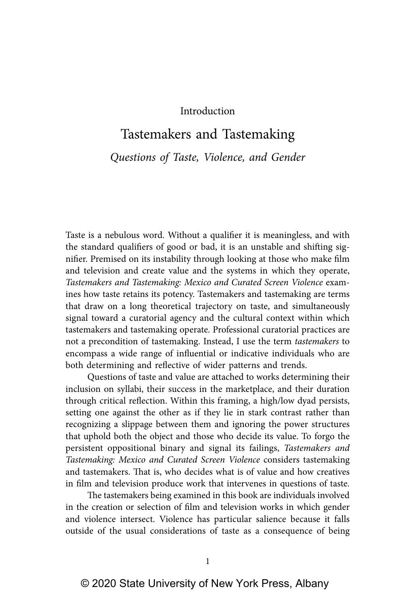## Introduction

# Tastemakers and Tastemaking

# *Questions of Taste, Violence, and Gender*

Taste is a nebulous word. Without a qualifier it is meaningless, and with the standard qualifiers of good or bad, it is an unstable and shifting signifier. Premised on its instability through looking at those who make film and television and create value and the systems in which they operate, *Tastemakers and Tastemaking: Mexico and Curated Screen Violence* examines how taste retains its potency. Tastemakers and tastemaking are terms that draw on a long theoretical trajectory on taste, and simultaneously signal toward a curatorial agency and the cultural context within which tastemakers and tastemaking operate. Professional curatorial practices are not a precondition of tastemaking. Instead, I use the term *tastemakers* to encompass a wide range of influential or indicative individuals who are both determining and reflective of wider patterns and trends.

Questions of taste and value are attached to works determining their inclusion on syllabi, their success in the marketplace, and their duration through critical reflection. Within this framing, a high/low dyad persists, setting one against the other as if they lie in stark contrast rather than recognizing a slippage between them and ignoring the power structures that uphold both the object and those who decide its value. To forgo the persistent oppositional binary and signal its failings, *Tastemakers and Tastemaking: Mexico and Curated Screen Violence* considers tastemaking and tastemakers. That is, who decides what is of value and how creatives in film and television produce work that intervenes in questions of taste.

The tastemakers being examined in this book are individuals involved in the creation or selection of film and television works in which gender and violence intersect. Violence has particular salience because it falls outside of the usual considerations of taste as a consequence of being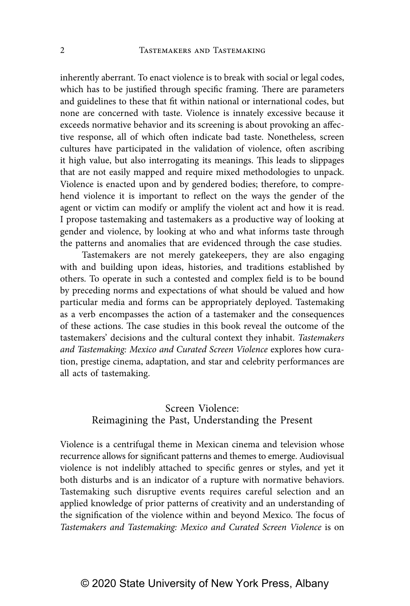inherently aberrant. To enact violence is to break with social or legal codes, which has to be justified through specific framing. There are parameters and guidelines to these that fit within national or international codes, but none are concerned with taste. Violence is innately excessive because it exceeds normative behavior and its screening is about provoking an affective response, all of which often indicate bad taste. Nonetheless, screen cultures have participated in the validation of violence, often ascribing it high value, but also interrogating its meanings. This leads to slippages that are not easily mapped and require mixed methodologies to unpack. Violence is enacted upon and by gendered bodies; therefore, to comprehend violence it is important to reflect on the ways the gender of the agent or victim can modify or amplify the violent act and how it is read. I propose tastemaking and tastemakers as a productive way of looking at gender and violence, by looking at who and what informs taste through the patterns and anomalies that are evidenced through the case studies.

Tastemakers are not merely gatekeepers, they are also engaging with and building upon ideas, histories, and traditions established by others. To operate in such a contested and complex field is to be bound by preceding norms and expectations of what should be valued and how particular media and forms can be appropriately deployed. Tastemaking as a verb encompasses the action of a tastemaker and the consequences of these actions. The case studies in this book reveal the outcome of the tastemakers' decisions and the cultural context they inhabit. *Tastemakers and Tastemaking: Mexico and Curated Screen Violence* explores how curation, prestige cinema, adaptation, and star and celebrity performances are all acts of tastemaking.

# Screen Violence: Reimagining the Past, Understanding the Present

Violence is a centrifugal theme in Mexican cinema and television whose recurrence allows for significant patterns and themes to emerge. Audiovisual violence is not indelibly attached to specific genres or styles, and yet it both disturbs and is an indicator of a rupture with normative behaviors. Tastemaking such disruptive events requires careful selection and an applied knowledge of prior patterns of creativity and an understanding of the signification of the violence within and beyond Mexico. The focus of *Tastemakers and Tastemaking: Mexico and Curated Screen Violence* is on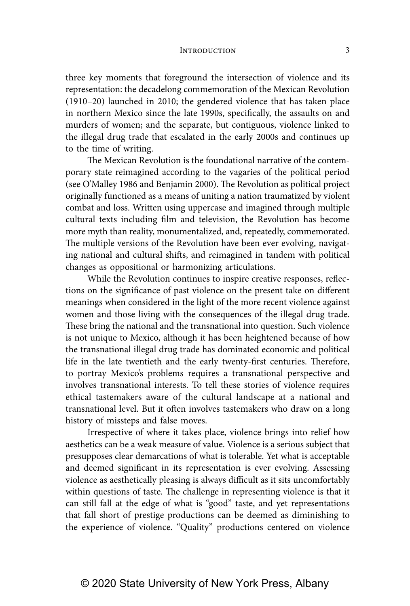three key moments that foreground the intersection of violence and its representation: the decadelong commemoration of the Mexican Revolution (1910–20) launched in 2010; the gendered violence that has taken place in northern Mexico since the late 1990s, specifically, the assaults on and murders of women; and the separate, but contiguous, violence linked to the illegal drug trade that escalated in the early 2000s and continues up to the time of writing.

The Mexican Revolution is the foundational narrative of the contemporary state reimagined according to the vagaries of the political period (see O'Malley 1986 and Benjamin 2000). The Revolution as political project originally functioned as a means of uniting a nation traumatized by violent combat and loss. Written using uppercase and imagined through multiple cultural texts including film and television, the Revolution has become more myth than reality, monumentalized, and, repeatedly, commemorated. The multiple versions of the Revolution have been ever evolving, navigating national and cultural shifts, and reimagined in tandem with political changes as oppositional or harmonizing articulations.

While the Revolution continues to inspire creative responses, reflections on the significance of past violence on the present take on different meanings when considered in the light of the more recent violence against women and those living with the consequences of the illegal drug trade. These bring the national and the transnational into question. Such violence is not unique to Mexico, although it has been heightened because of how the transnational illegal drug trade has dominated economic and political life in the late twentieth and the early twenty-first centuries. Therefore, to portray Mexico's problems requires a transnational perspective and involves transnational interests. To tell these stories of violence requires ethical tastemakers aware of the cultural landscape at a national and transnational level. But it often involves tastemakers who draw on a long history of missteps and false moves.

Irrespective of where it takes place, violence brings into relief how aesthetics can be a weak measure of value. Violence is a serious subject that presupposes clear demarcations of what is tolerable. Yet what is acceptable and deemed significant in its representation is ever evolving. Assessing violence as aesthetically pleasing is always difficult as it sits uncomfortably within questions of taste. The challenge in representing violence is that it can still fall at the edge of what is "good" taste, and yet representations that fall short of prestige productions can be deemed as diminishing to the experience of violence. "Quality" productions centered on violence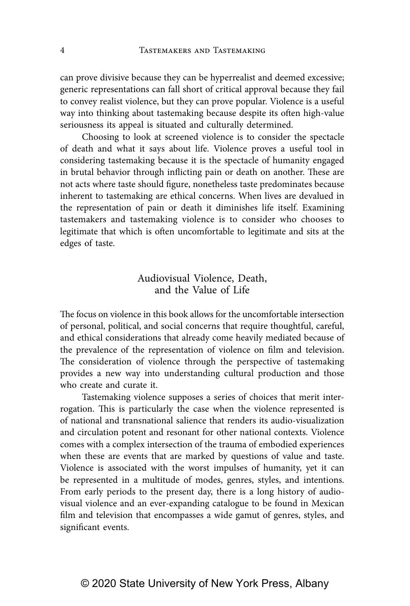can prove divisive because they can be hyperrealist and deemed excessive; generic representations can fall short of critical approval because they fail to convey realist violence, but they can prove popular. Violence is a useful way into thinking about tastemaking because despite its often high-value seriousness its appeal is situated and culturally determined.

Choosing to look at screened violence is to consider the spectacle of death and what it says about life. Violence proves a useful tool in considering tastemaking because it is the spectacle of humanity engaged in brutal behavior through inflicting pain or death on another. These are not acts where taste should figure, nonetheless taste predominates because inherent to tastemaking are ethical concerns. When lives are devalued in the representation of pain or death it diminishes life itself. Examining tastemakers and tastemaking violence is to consider who chooses to legitimate that which is often uncomfortable to legitimate and sits at the edges of taste.

### Audiovisual Violence, Death, and the Value of Life

The focus on violence in this book allows for the uncomfortable intersection of personal, political, and social concerns that require thoughtful, careful, and ethical considerations that already come heavily mediated because of the prevalence of the representation of violence on film and television. The consideration of violence through the perspective of tastemaking provides a new way into understanding cultural production and those who create and curate it.

Tastemaking violence supposes a series of choices that merit interrogation. This is particularly the case when the violence represented is of national and transnational salience that renders its audio-visualization and circulation potent and resonant for other national contexts. Violence comes with a complex intersection of the trauma of embodied experiences when these are events that are marked by questions of value and taste. Violence is associated with the worst impulses of humanity, yet it can be represented in a multitude of modes, genres, styles, and intentions. From early periods to the present day, there is a long history of audiovisual violence and an ever-expanding catalogue to be found in Mexican film and television that encompasses a wide gamut of genres, styles, and significant events.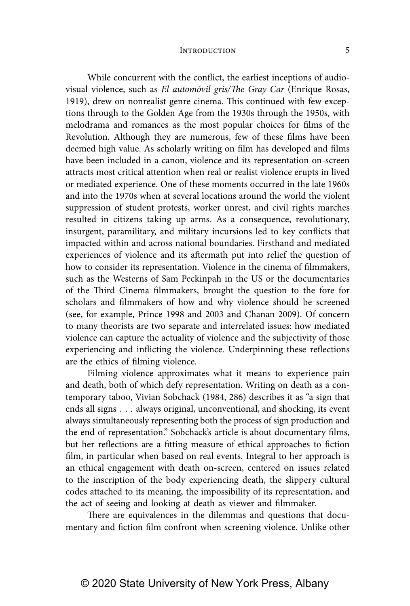While concurrent with the conflict, the earliest inceptions of audiovisual violence, such as *El automóvil gris/The Gray Car* (Enrique Rosas, 1919), drew on nonrealist genre cinema. This continued with few exceptions through to the Golden Age from the 1930s through the 1950s, with melodrama and romances as the most popular choices for films of the Revolution. Although they are numerous, few of these films have been deemed high value. As scholarly writing on film has developed and films have been included in a canon, violence and its representation on-screen attracts most critical attention when real or realist violence erupts in lived or mediated experience. One of these moments occurred in the late 1960s and into the 1970s when at several locations around the world the violent suppression of student protests, worker unrest, and civil rights marches resulted in citizens taking up arms. As a consequence, revolutionary, insurgent, paramilitary, and military incursions led to key conflicts that impacted within and across national boundaries. Firsthand and mediated experiences of violence and its aftermath put into relief the question of how to consider its representation. Violence in the cinema of filmmakers, such as the Westerns of Sam Peckinpah in the US or the documentaries of the Third Cinema filmmakers, brought the question to the fore for scholars and filmmakers of how and why violence should be screened (see, for example, Prince 1998 and 2003 and Chanan 2009). Of concern to many theorists are two separate and interrelated issues: how mediated violence can capture the actuality of violence and the subjectivity of those experiencing and inflicting the violence. Underpinning these reflections are the ethics of filming violence.

Filming violence approximates what it means to experience pain and death, both of which defy representation. Writing on death as a contemporary taboo, Vivian Sobchack (1984, 286) describes it as "a sign that ends all signs . . . always original, unconventional, and shocking, its event always simultaneously representing both the process of sign production and the end of representation." Sobchack's article is about documentary films, but her reflections are a fitting measure of ethical approaches to fiction film, in particular when based on real events. Integral to her approach is an ethical engagement with death on-screen, centered on issues related to the inscription of the body experiencing death, the slippery cultural codes attached to its meaning, the impossibility of its representation, and the act of seeing and looking at death as viewer and filmmaker.

There are equivalences in the dilemmas and questions that documentary and fiction film confront when screening violence. Unlike other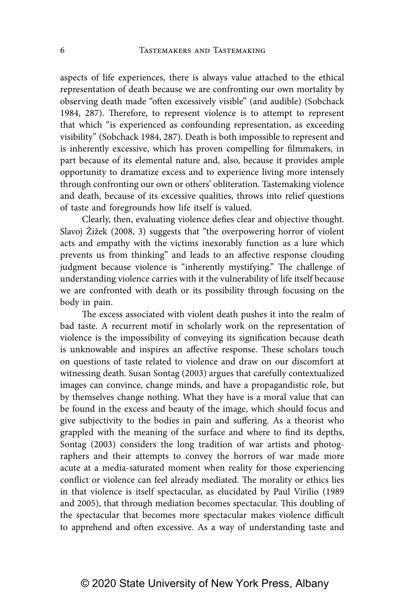aspects of life experiences, there is always value attached to the ethical representation of death because we are confronting our own mortality by observing death made "often excessively visible" (and audible) (Sobchack 1984, 287). Therefore, to represent violence is to attempt to represent that which "is experienced as confounding representation, as exceeding visibility" (Sobchack 1984, 287). Death is both impossible to represent and is inherently excessive, which has proven compelling for filmmakers, in part because of its elemental nature and, also, because it provides ample opportunity to dramatize excess and to experience living more intensely through confronting our own or others' obliteration. Tastemaking violence and death, because of its excessive qualities, throws into relief questions of taste and foregrounds how life itself is valued.

Clearly, then, evaluating violence defies clear and objective thought. Slavoj Žižek (2008, 3) suggests that "the overpowering horror of violent acts and empathy with the victims inexorably function as a lure which prevents us from thinking" and leads to an affective response clouding judgment because violence is "inherently mystifying." The challenge of understanding violence carries with it the vulnerability of life itself because we are confronted with death or its possibility through focusing on the body in pain.

The excess associated with violent death pushes it into the realm of bad taste. A recurrent motif in scholarly work on the representation of violence is the impossibility of conveying its signification because death is unknowable and inspires an affective response. These scholars touch on questions of taste related to violence and draw on our discomfort at witnessing death. Susan Sontag (2003) argues that carefully contextualized images can convince, change minds, and have a propagandistic role, but by themselves change nothing. What they have is a moral value that can be found in the excess and beauty of the image, which should focus and give subjectivity to the bodies in pain and suffering. As a theorist who grappled with the meaning of the surface and where to find its depths, Sontag (2003) considers the long tradition of war artists and photographers and their attempts to convey the horrors of war made more acute at a media-saturated moment when reality for those experiencing conflict or violence can feel already mediated. The morality or ethics lies in that violence is itself spectacular, as elucidated by Paul Virilio (1989 and 2005), that through mediation becomes spectacular. This doubling of the spectacular that becomes more spectacular makes violence difficult to apprehend and often excessive. As a way of understanding taste and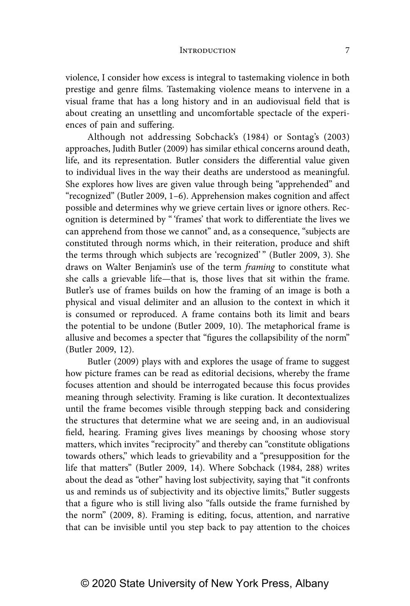violence, I consider how excess is integral to tastemaking violence in both prestige and genre films. Tastemaking violence means to intervene in a visual frame that has a long history and in an audiovisual field that is about creating an unsettling and uncomfortable spectacle of the experiences of pain and suffering.

Although not addressing Sobchack's (1984) or Sontag's (2003) approaches, Judith Butler (2009) has similar ethical concerns around death, life, and its representation. Butler considers the differential value given to individual lives in the way their deaths are understood as meaningful. She explores how lives are given value through being "apprehended" and "recognized" (Butler 2009, 1–6). Apprehension makes cognition and affect possible and determines why we grieve certain lives or ignore others. Recognition is determined by "'frames' that work to differentiate the lives we can apprehend from those we cannot" and, as a consequence, "subjects are constituted through norms which, in their reiteration, produce and shift the terms through which subjects are 'recognized'" (Butler 2009, 3). She draws on Walter Benjamin's use of the term *framing* to constitute what she calls a grievable life—that is, those lives that sit within the frame. Butler's use of frames builds on how the framing of an image is both a physical and visual delimiter and an allusion to the context in which it is consumed or reproduced. A frame contains both its limit and bears the potential to be undone (Butler 2009, 10). The metaphorical frame is allusive and becomes a specter that "figures the collapsibility of the norm" (Butler 2009, 12).

Butler (2009) plays with and explores the usage of frame to suggest how picture frames can be read as editorial decisions, whereby the frame focuses attention and should be interrogated because this focus provides meaning through selectivity. Framing is like curation. It decontextualizes until the frame becomes visible through stepping back and considering the structures that determine what we are seeing and, in an audiovisual field, hearing. Framing gives lives meanings by choosing whose story matters, which invites "reciprocity" and thereby can "constitute obligations towards others," which leads to grievability and a "presupposition for the life that matters" (Butler 2009, 14). Where Sobchack (1984, 288) writes about the dead as "other" having lost subjectivity, saying that "it confronts us and reminds us of subjectivity and its objective limits," Butler suggests that a figure who is still living also "falls outside the frame furnished by the norm" (2009, 8). Framing is editing, focus, attention, and narrative that can be invisible until you step back to pay attention to the choices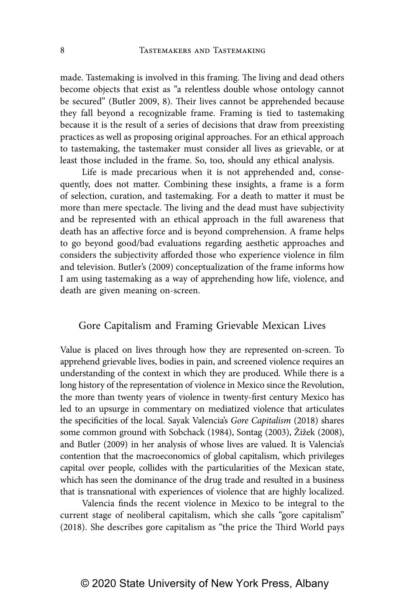made. Tastemaking is involved in this framing. The living and dead others become objects that exist as "a relentless double whose ontology cannot be secured" (Butler 2009, 8). Their lives cannot be apprehended because they fall beyond a recognizable frame. Framing is tied to tastemaking because it is the result of a series of decisions that draw from preexisting practices as well as proposing original approaches. For an ethical approach to tastemaking, the tastemaker must consider all lives as grievable, or at least those included in the frame. So, too, should any ethical analysis.

Life is made precarious when it is not apprehended and, consequently, does not matter. Combining these insights, a frame is a form of selection, curation, and tastemaking. For a death to matter it must be more than mere spectacle. The living and the dead must have subjectivity and be represented with an ethical approach in the full awareness that death has an affective force and is beyond comprehension. A frame helps to go beyond good/bad evaluations regarding aesthetic approaches and considers the subjectivity afforded those who experience violence in film and television. Butler's (2009) conceptualization of the frame informs how I am using tastemaking as a way of apprehending how life, violence, and death are given meaning on-screen.

# Gore Capitalism and Framing Grievable Mexican Lives

Value is placed on lives through how they are represented on-screen. To apprehend grievable lives, bodies in pain, and screened violence requires an understanding of the context in which they are produced. While there is a long history of the representation of violence in Mexico since the Revolution, the more than twenty years of violence in twenty-first century Mexico has led to an upsurge in commentary on mediatized violence that articulates the specificities of the local. Sayak Valencia's *Gore Capitalism* (2018) shares some common ground with Sobchack (1984), Sontag (2003), Žižek (2008), and Butler (2009) in her analysis of whose lives are valued. It is Valencia's contention that the macroeconomics of global capitalism, which privileges capital over people, collides with the particularities of the Mexican state, which has seen the dominance of the drug trade and resulted in a business that is transnational with experiences of violence that are highly localized.

Valencia finds the recent violence in Mexico to be integral to the current stage of neoliberal capitalism, which she calls "gore capitalism" (2018). She describes gore capitalism as "the price the Third World pays

### © 2020 State University of New York Press, Albany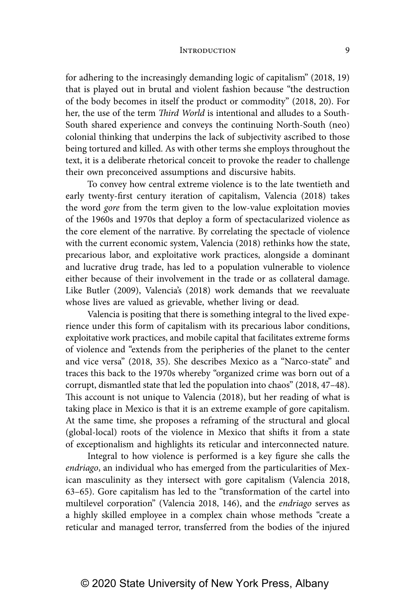for adhering to the increasingly demanding logic of capitalism" (2018, 19) that is played out in brutal and violent fashion because "the destruction of the body becomes in itself the product or commodity" (2018, 20). For her, the use of the term *Third World* is intentional and alludes to a South-South shared experience and conveys the continuing North-South (neo) colonial thinking that underpins the lack of subjectivity ascribed to those being tortured and killed. As with other terms she employs throughout the text, it is a deliberate rhetorical conceit to provoke the reader to challenge their own preconceived assumptions and discursive habits.

To convey how central extreme violence is to the late twentieth and early twenty-first century iteration of capitalism, Valencia (2018) takes the word *gore* from the term given to the low-value exploitation movies of the 1960s and 1970s that deploy a form of spectacularized violence as the core element of the narrative. By correlating the spectacle of violence with the current economic system, Valencia (2018) rethinks how the state, precarious labor, and exploitative work practices, alongside a dominant and lucrative drug trade, has led to a population vulnerable to violence either because of their involvement in the trade or as collateral damage. Like Butler (2009), Valencia's (2018) work demands that we reevaluate whose lives are valued as grievable, whether living or dead.

Valencia is positing that there is something integral to the lived experience under this form of capitalism with its precarious labor conditions, exploitative work practices, and mobile capital that facilitates extreme forms of violence and "extends from the peripheries of the planet to the center and vice versa" (2018, 35). She describes Mexico as a "Narco-state" and traces this back to the 1970s whereby "organized crime was born out of a corrupt, dismantled state that led the population into chaos" (2018, 47–48). This account is not unique to Valencia (2018), but her reading of what is taking place in Mexico is that it is an extreme example of gore capitalism. At the same time, she proposes a reframing of the structural and glocal (global-local) roots of the violence in Mexico that shifts it from a state of exceptionalism and highlights its reticular and interconnected nature.

Integral to how violence is performed is a key figure she calls the *endriago*, an individual who has emerged from the particularities of Mexican masculinity as they intersect with gore capitalism (Valencia 2018, 63–65). Gore capitalism has led to the "transformation of the cartel into multilevel corporation" (Valencia 2018, 146), and the *endriago* serves as a highly skilled employee in a complex chain whose methods "create a reticular and managed terror, transferred from the bodies of the injured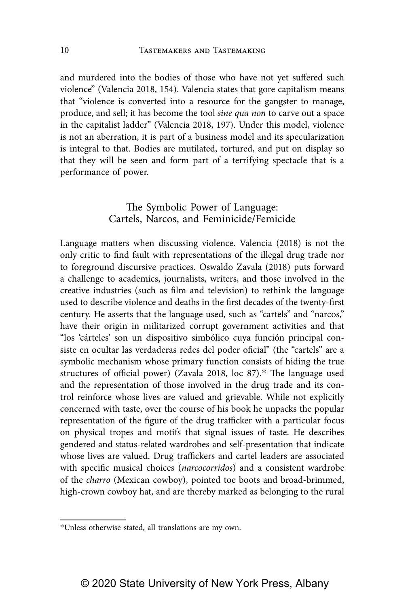and murdered into the bodies of those who have not yet suffered such violence" (Valencia 2018, 154). Valencia states that gore capitalism means that "violence is converted into a resource for the gangster to manage, produce, and sell; it has become the tool *sine qua non* to carve out a space in the capitalist ladder" (Valencia 2018, 197). Under this model, violence is not an aberration, it is part of a business model and its specularization is integral to that. Bodies are mutilated, tortured, and put on display so that they will be seen and form part of a terrifying spectacle that is a performance of power.

## The Symbolic Power of Language: Cartels, Narcos, and Feminicide/Femicide

Language matters when discussing violence. Valencia (2018) is not the only critic to find fault with representations of the illegal drug trade nor to foreground discursive practices. Oswaldo Zavala (2018) puts forward a challenge to academics, journalists, writers, and those involved in the creative industries (such as film and television) to rethink the language used to describe violence and deaths in the first decades of the twenty-first century. He asserts that the language used, such as "cartels" and "narcos," have their origin in militarized corrupt government activities and that "los 'cárteles' son un dispositivo simbólico cuya función principal consiste en ocultar las verdaderas redes del poder oficial" (the "cartels" are a symbolic mechanism whose primary function consists of hiding the true structures of official power) (Zavala 2018, loc 87).\* The language used and the representation of those involved in the drug trade and its control reinforce whose lives are valued and grievable. While not explicitly concerned with taste, over the course of his book he unpacks the popular representation of the figure of the drug trafficker with a particular focus on physical tropes and motifs that signal issues of taste. He describes gendered and status-related wardrobes and self-presentation that indicate whose lives are valued. Drug traffickers and cartel leaders are associated with specific musical choices (*narcocorridos*) and a consistent wardrobe of the *charro* (Mexican cowboy), pointed toe boots and broad-brimmed, high-crown cowboy hat, and are thereby marked as belonging to the rural

<sup>\*</sup>Unless otherwise stated, all translations are my own.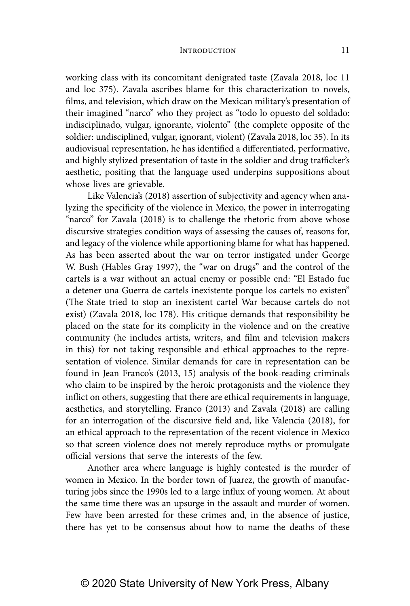working class with its concomitant denigrated taste (Zavala 2018, loc 11 and loc 375). Zavala ascribes blame for this characterization to novels, films, and television, which draw on the Mexican military's presentation of their imagined "narco" who they project as "todo lo opuesto del soldado: indisciplinado, vulgar, ignorante, violento" (the complete opposite of the soldier: undisciplined, vulgar, ignorant, violent) (Zavala 2018, loc 35). In its audiovisual representation, he has identified a differentiated, performative, and highly stylized presentation of taste in the soldier and drug trafficker's aesthetic, positing that the language used underpins suppositions about whose lives are grievable.

Like Valencia's (2018) assertion of subjectivity and agency when analyzing the specificity of the violence in Mexico, the power in interrogating "narco" for Zavala (2018) is to challenge the rhetoric from above whose discursive strategies condition ways of assessing the causes of, reasons for, and legacy of the violence while apportioning blame for what has happened. As has been asserted about the war on terror instigated under George W. Bush (Hables Gray 1997), the "war on drugs" and the control of the cartels is a war without an actual enemy or possible end: "El Estado fue a detener una Guerra de cartels inexistente porque los cartels no existen" (The State tried to stop an inexistent cartel War because cartels do not exist) (Zavala 2018, loc 178). His critique demands that responsibility be placed on the state for its complicity in the violence and on the creative community (he includes artists, writers, and film and television makers in this) for not taking responsible and ethical approaches to the representation of violence. Similar demands for care in representation can be found in Jean Franco's (2013, 15) analysis of the book-reading criminals who claim to be inspired by the heroic protagonists and the violence they inflict on others, suggesting that there are ethical requirements in language, aesthetics, and storytelling. Franco (2013) and Zavala (2018) are calling for an interrogation of the discursive field and, like Valencia (2018), for an ethical approach to the representation of the recent violence in Mexico so that screen violence does not merely reproduce myths or promulgate official versions that serve the interests of the few.

Another area where language is highly contested is the murder of women in Mexico. In the border town of Juarez, the growth of manufacturing jobs since the 1990s led to a large influx of young women. At about the same time there was an upsurge in the assault and murder of women. Few have been arrested for these crimes and, in the absence of justice, there has yet to be consensus about how to name the deaths of these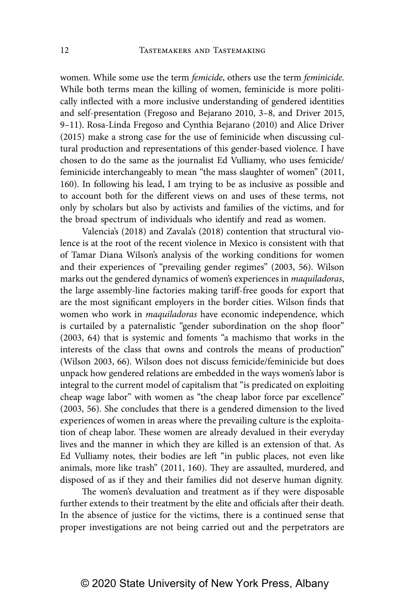women. While some use the term *femicide*, others use the term *feminicide*. While both terms mean the killing of women, feminicide is more politically inflected with a more inclusive understanding of gendered identities and self-presentation (Fregoso and Bejarano 2010, 3–8, and Driver 2015, 9–11). Rosa-Linda Fregoso and Cynthia Bejarano (2010) and Alice Driver (2015) make a strong case for the use of feminicide when discussing cultural production and representations of this gender-based violence. I have chosen to do the same as the journalist Ed Vulliamy, who uses femicide/ feminicide interchangeably to mean "the mass slaughter of women" (2011, 160). In following his lead, I am trying to be as inclusive as possible and to account both for the different views on and uses of these terms, not only by scholars but also by activists and families of the victims, and for the broad spectrum of individuals who identify and read as women.

Valencia's (2018) and Zavala's (2018) contention that structural violence is at the root of the recent violence in Mexico is consistent with that of Tamar Diana Wilson's analysis of the working conditions for women and their experiences of "prevailing gender regimes" (2003, 56). Wilson marks out the gendered dynamics of women's experiences in *maquiladoras*, the large assembly-line factories making tariff-free goods for export that are the most significant employers in the border cities. Wilson finds that women who work in *maquiladoras* have economic independence, which is curtailed by a paternalistic "gender subordination on the shop floor" (2003, 64) that is systemic and foments "a machismo that works in the interests of the class that owns and controls the means of production" (Wilson 2003, 66). Wilson does not discuss femicide/feminicide but does unpack how gendered relations are embedded in the ways women's labor is integral to the current model of capitalism that "is predicated on exploiting cheap wage labor" with women as "the cheap labor force par excellence" (2003, 56). She concludes that there is a gendered dimension to the lived experiences of women in areas where the prevailing culture is the exploitation of cheap labor. These women are already devalued in their everyday lives and the manner in which they are killed is an extension of that. As Ed Vulliamy notes, their bodies are left "in public places, not even like animals, more like trash" (2011, 160). They are assaulted, murdered, and disposed of as if they and their families did not deserve human dignity.

The women's devaluation and treatment as if they were disposable further extends to their treatment by the elite and officials after their death. In the absence of justice for the victims, there is a continued sense that proper investigations are not being carried out and the perpetrators are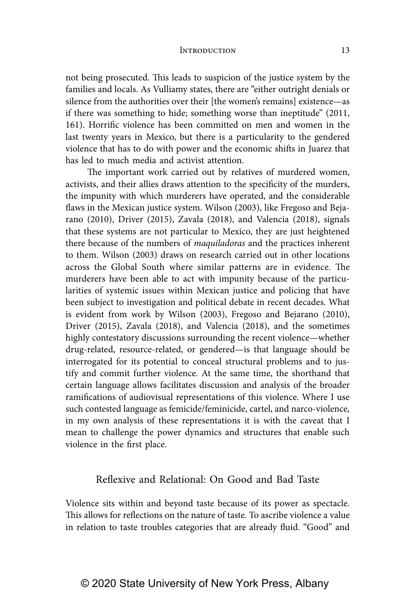not being prosecuted. This leads to suspicion of the justice system by the families and locals. As Vulliamy states, there are "either outright denials or silence from the authorities over their [the women's remains] existence—as if there was something to hide; something worse than ineptitude" (2011, 161). Horrific violence has been committed on men and women in the last twenty years in Mexico, but there is a particularity to the gendered violence that has to do with power and the economic shifts in Juarez that has led to much media and activist attention.

The important work carried out by relatives of murdered women, activists, and their allies draws attention to the specificity of the murders, the impunity with which murderers have operated, and the considerable flaws in the Mexican justice system. Wilson (2003), like Fregoso and Bejarano (2010), Driver (2015), Zavala (2018), and Valencia (2018), signals that these systems are not particular to Mexico, they are just heightened there because of the numbers of *maquiladoras* and the practices inherent to them. Wilson (2003) draws on research carried out in other locations across the Global South where similar patterns are in evidence. The murderers have been able to act with impunity because of the particularities of systemic issues within Mexican justice and policing that have been subject to investigation and political debate in recent decades. What is evident from work by Wilson (2003), Fregoso and Bejarano (2010), Driver (2015), Zavala (2018), and Valencia (2018), and the sometimes highly contestatory discussions surrounding the recent violence—whether drug-related, resource-related, or gendered—is that language should be interrogated for its potential to conceal structural problems and to justify and commit further violence. At the same time, the shorthand that certain language allows facilitates discussion and analysis of the broader ramifications of audiovisual representations of this violence. Where I use such contested language as femicide/feminicide, cartel, and narco-violence, in my own analysis of these representations it is with the caveat that I mean to challenge the power dynamics and structures that enable such violence in the first place.

### Reflexive and Relational: On Good and Bad Taste

Violence sits within and beyond taste because of its power as spectacle. This allows for reflections on the nature of taste. To ascribe violence a value in relation to taste troubles categories that are already fluid. "Good" and

## © 2020 State University of New York Press, Albany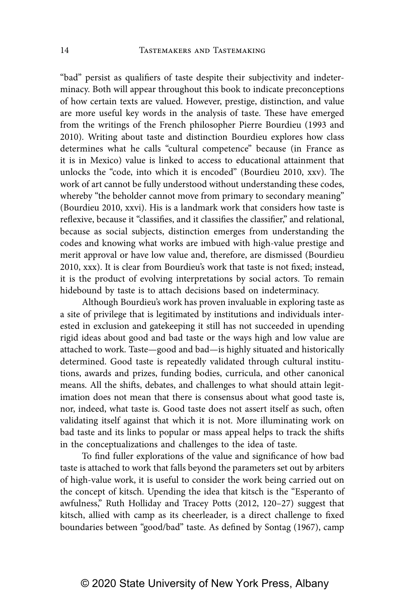"bad" persist as qualifiers of taste despite their subjectivity and indeterminacy. Both will appear throughout this book to indicate preconceptions of how certain texts are valued. However, prestige, distinction, and value are more useful key words in the analysis of taste. These have emerged from the writings of the French philosopher Pierre Bourdieu (1993 and 2010). Writing about taste and distinction Bourdieu explores how class determines what he calls "cultural competence" because (in France as it is in Mexico) value is linked to access to educational attainment that unlocks the "code, into which it is encoded" (Bourdieu 2010, xxv). The work of art cannot be fully understood without understanding these codes, whereby "the beholder cannot move from primary to secondary meaning" (Bourdieu 2010, xxvi). His is a landmark work that considers how taste is reflexive, because it "classifies, and it classifies the classifier," and relational, because as social subjects, distinction emerges from understanding the codes and knowing what works are imbued with high-value prestige and merit approval or have low value and, therefore, are dismissed (Bourdieu 2010, xxx). It is clear from Bourdieu's work that taste is not fixed; instead, it is the product of evolving interpretations by social actors. To remain hidebound by taste is to attach decisions based on indeterminacy.

Although Bourdieu's work has proven invaluable in exploring taste as a site of privilege that is legitimated by institutions and individuals interested in exclusion and gatekeeping it still has not succeeded in upending rigid ideas about good and bad taste or the ways high and low value are attached to work. Taste—good and bad—is highly situated and historically determined. Good taste is repeatedly validated through cultural institutions, awards and prizes, funding bodies, curricula, and other canonical means. All the shifts, debates, and challenges to what should attain legitimation does not mean that there is consensus about what good taste is, nor, indeed, what taste is. Good taste does not assert itself as such, often validating itself against that which it is not. More illuminating work on bad taste and its links to popular or mass appeal helps to track the shifts in the conceptualizations and challenges to the idea of taste.

To find fuller explorations of the value and significance of how bad taste is attached to work that falls beyond the parameters set out by arbiters of high-value work, it is useful to consider the work being carried out on the concept of kitsch. Upending the idea that kitsch is the "Esperanto of awfulness," Ruth Holliday and Tracey Potts (2012, 120–27) suggest that kitsch, allied with camp as its cheerleader, is a direct challenge to fixed boundaries between "good/bad" taste. As defined by Sontag (1967), camp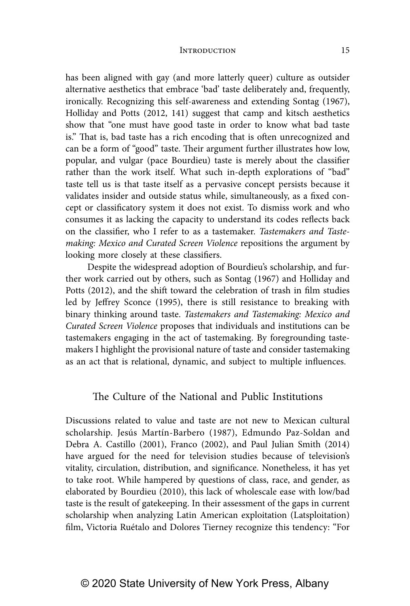has been aligned with gay (and more latterly queer) culture as outsider alternative aesthetics that embrace 'bad' taste deliberately and, frequently, ironically. Recognizing this self-awareness and extending Sontag (1967), Holliday and Potts (2012, 141) suggest that camp and kitsch aesthetics show that "one must have good taste in order to know what bad taste is." That is, bad taste has a rich encoding that is often unrecognized and can be a form of "good" taste. Their argument further illustrates how low, popular, and vulgar (pace Bourdieu) taste is merely about the classifier rather than the work itself. What such in-depth explorations of "bad" taste tell us is that taste itself as a pervasive concept persists because it validates insider and outside status while, simultaneously, as a fixed concept or classificatory system it does not exist. To dismiss work and who consumes it as lacking the capacity to understand its codes reflects back on the classifier, who I refer to as a tastemaker. *Tastemakers and Tastemaking: Mexico and Curated Screen Violence* repositions the argument by looking more closely at these classifiers.

Despite the widespread adoption of Bourdieu's scholarship, and further work carried out by others, such as Sontag (1967) and Holliday and Potts (2012), and the shift toward the celebration of trash in film studies led by Jeffrey Sconce (1995), there is still resistance to breaking with binary thinking around taste. *Tastemakers and Tastemaking: Mexico and Curated Screen Violence* proposes that individuals and institutions can be tastemakers engaging in the act of tastemaking. By foregrounding tastemakers I highlight the provisional nature of taste and consider tastemaking as an act that is relational, dynamic, and subject to multiple influences.

### The Culture of the National and Public Institutions

Discussions related to value and taste are not new to Mexican cultural scholarship. Jesús Martín-Barbero (1987), Edmundo Paz-Soldan and Debra A. Castillo (2001), Franco (2002), and Paul Julian Smith (2014) have argued for the need for television studies because of television's vitality, circulation, distribution, and significance. Nonetheless, it has yet to take root. While hampered by questions of class, race, and gender, as elaborated by Bourdieu (2010), this lack of wholescale ease with low/bad taste is the result of gatekeeping. In their assessment of the gaps in current scholarship when analyzing Latin American exploitation (Latsploitation) film, Victoria Ruétalo and Dolores Tierney recognize this tendency: "For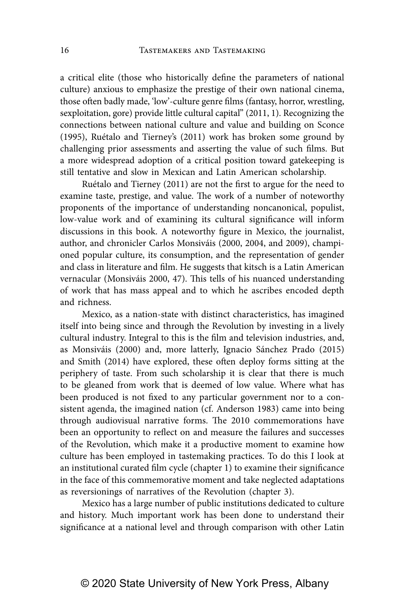a critical elite (those who historically define the parameters of national culture) anxious to emphasize the prestige of their own national cinema, those often badly made, 'low'-culture genre films (fantasy, horror, wrestling, sexploitation, gore) provide little cultural capital" (2011, 1). Recognizing the connections between national culture and value and building on Sconce (1995), Ruétalo and Tierney's (2011) work has broken some ground by challenging prior assessments and asserting the value of such films. But a more widespread adoption of a critical position toward gatekeeping is still tentative and slow in Mexican and Latin American scholarship.

Ruétalo and Tierney (2011) are not the first to argue for the need to examine taste, prestige, and value. The work of a number of noteworthy proponents of the importance of understanding noncanonical, populist, low-value work and of examining its cultural significance will inform discussions in this book. A noteworthy figure in Mexico, the journalist, author, and chronicler Carlos Monsiváis (2000, 2004, and 2009), championed popular culture, its consumption, and the representation of gender and class in literature and film. He suggests that kitsch is a Latin American vernacular (Monsiváis 2000, 47). This tells of his nuanced understanding of work that has mass appeal and to which he ascribes encoded depth and richness.

Mexico, as a nation-state with distinct characteristics, has imagined itself into being since and through the Revolution by investing in a lively cultural industry. Integral to this is the film and television industries, and, as Monsiváis (2000) and, more latterly, Ignacio Sánchez Prado (2015) and Smith (2014) have explored, these often deploy forms sitting at the periphery of taste. From such scholarship it is clear that there is much to be gleaned from work that is deemed of low value. Where what has been produced is not fixed to any particular government nor to a consistent agenda, the imagined nation (cf. Anderson 1983) came into being through audiovisual narrative forms. The 2010 commemorations have been an opportunity to reflect on and measure the failures and successes of the Revolution, which make it a productive moment to examine how culture has been employed in tastemaking practices. To do this I look at an institutional curated film cycle (chapter 1) to examine their significance in the face of this commemorative moment and take neglected adaptations as reversionings of narratives of the Revolution (chapter 3).

Mexico has a large number of public institutions dedicated to culture and history. Much important work has been done to understand their significance at a national level and through comparison with other Latin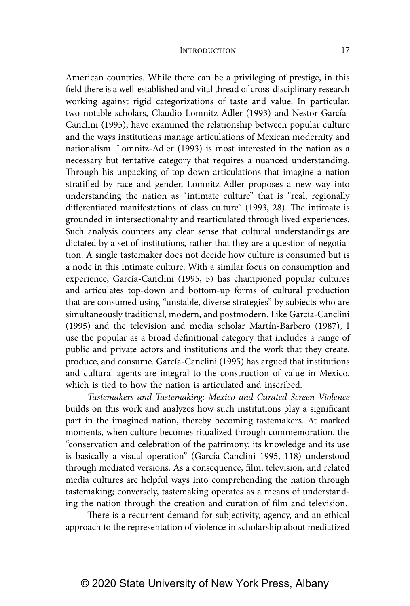American countries. While there can be a privileging of prestige, in this field there is a well-established and vital thread of cross-disciplinary research working against rigid categorizations of taste and value. In particular, two notable scholars, Claudio Lomnitz-Adler (1993) and Nestor García-Canclini (1995), have examined the relationship between popular culture and the ways institutions manage articulations of Mexican modernity and nationalism. Lomnitz-Adler (1993) is most interested in the nation as a necessary but tentative category that requires a nuanced understanding. Through his unpacking of top-down articulations that imagine a nation stratified by race and gender, Lomnitz-Adler proposes a new way into understanding the nation as "intimate culture" that is "real, regionally differentiated manifestations of class culture" (1993, 28). The intimate is grounded in intersectionality and rearticulated through lived experiences. Such analysis counters any clear sense that cultural understandings are dictated by a set of institutions, rather that they are a question of negotiation. A single tastemaker does not decide how culture is consumed but is a node in this intimate culture. With a similar focus on consumption and experience, García-Canclini (1995, 5) has championed popular cultures and articulates top-down and bottom-up forms of cultural production that are consumed using "unstable, diverse strategies" by subjects who are simultaneously traditional, modern, and postmodern. Like García-Canclini (1995) and the television and media scholar Martín-Barbero (1987), I use the popular as a broad definitional category that includes a range of public and private actors and institutions and the work that they create, produce, and consume. García-Canclini (1995) has argued that institutions and cultural agents are integral to the construction of value in Mexico, which is tied to how the nation is articulated and inscribed.

*Tastemakers and Tastemaking: Mexico and Curated Screen Violence* builds on this work and analyzes how such institutions play a significant part in the imagined nation, thereby becoming tastemakers. At marked moments, when culture becomes ritualized through commemoration, the "conservation and celebration of the patrimony, its knowledge and its use is basically a visual operation" (García-Canclini 1995, 118) understood through mediated versions. As a consequence, film, television, and related media cultures are helpful ways into comprehending the nation through tastemaking; conversely, tastemaking operates as a means of understanding the nation through the creation and curation of film and television.

There is a recurrent demand for subjectivity, agency, and an ethical approach to the representation of violence in scholarship about mediatized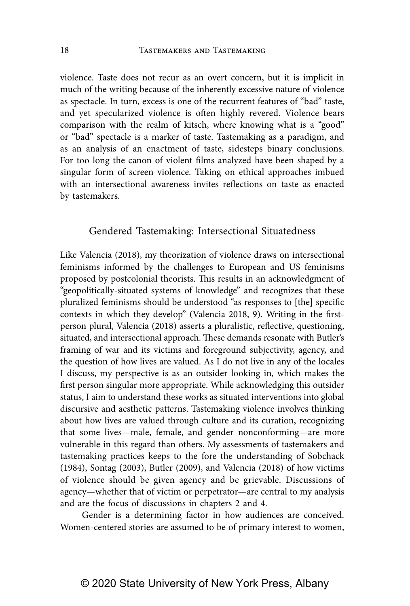violence. Taste does not recur as an overt concern, but it is implicit in much of the writing because of the inherently excessive nature of violence as spectacle. In turn, excess is one of the recurrent features of "bad" taste, and yet specularized violence is often highly revered. Violence bears comparison with the realm of kitsch, where knowing what is a "good" or "bad" spectacle is a marker of taste. Tastemaking as a paradigm, and as an analysis of an enactment of taste, sidesteps binary conclusions. For too long the canon of violent films analyzed have been shaped by a singular form of screen violence. Taking on ethical approaches imbued with an intersectional awareness invites reflections on taste as enacted by tastemakers.

### Gendered Tastemaking: Intersectional Situatedness

Like Valencia (2018), my theorization of violence draws on intersectional feminisms informed by the challenges to European and US feminisms proposed by postcolonial theorists. This results in an acknowledgment of "geopolitically-situated systems of knowledge" and recognizes that these pluralized feminisms should be understood "as responses to [the] specific contexts in which they develop" (Valencia 2018, 9). Writing in the firstperson plural, Valencia (2018) asserts a pluralistic, reflective, questioning, situated, and intersectional approach. These demands resonate with Butler's framing of war and its victims and foreground subjectivity, agency, and the question of how lives are valued. As I do not live in any of the locales I discuss, my perspective is as an outsider looking in, which makes the first person singular more appropriate. While acknowledging this outsider status, I aim to understand these works as situated interventions into global discursive and aesthetic patterns. Tastemaking violence involves thinking about how lives are valued through culture and its curation, recognizing that some lives—male, female, and gender nonconforming—are more vulnerable in this regard than others. My assessments of tastemakers and tastemaking practices keeps to the fore the understanding of Sobchack (1984), Sontag (2003), Butler (2009), and Valencia (2018) of how victims of violence should be given agency and be grievable. Discussions of agency—whether that of victim or perpetrator—are central to my analysis and are the focus of discussions in chapters 2 and 4.

Gender is a determining factor in how audiences are conceived. Women-centered stories are assumed to be of primary interest to women,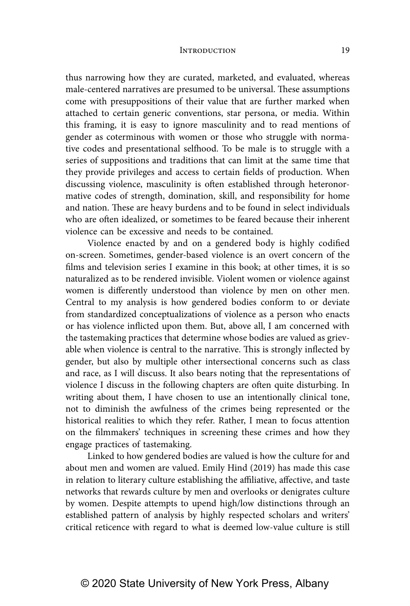thus narrowing how they are curated, marketed, and evaluated, whereas male-centered narratives are presumed to be universal. These assumptions come with presuppositions of their value that are further marked when attached to certain generic conventions, star persona, or media. Within this framing, it is easy to ignore masculinity and to read mentions of gender as coterminous with women or those who struggle with normative codes and presentational selfhood. To be male is to struggle with a series of suppositions and traditions that can limit at the same time that they provide privileges and access to certain fields of production. When discussing violence, masculinity is often established through heteronormative codes of strength, domination, skill, and responsibility for home and nation. These are heavy burdens and to be found in select individuals who are often idealized, or sometimes to be feared because their inherent violence can be excessive and needs to be contained.

Violence enacted by and on a gendered body is highly codified on-screen. Sometimes, gender-based violence is an overt concern of the films and television series I examine in this book; at other times, it is so naturalized as to be rendered invisible. Violent women or violence against women is differently understood than violence by men on other men. Central to my analysis is how gendered bodies conform to or deviate from standardized conceptualizations of violence as a person who enacts or has violence inflicted upon them. But, above all, I am concerned with the tastemaking practices that determine whose bodies are valued as grievable when violence is central to the narrative. This is strongly inflected by gender, but also by multiple other intersectional concerns such as class and race, as I will discuss. It also bears noting that the representations of violence I discuss in the following chapters are often quite disturbing. In writing about them, I have chosen to use an intentionally clinical tone, not to diminish the awfulness of the crimes being represented or the historical realities to which they refer. Rather, I mean to focus attention on the filmmakers' techniques in screening these crimes and how they engage practices of tastemaking.

Linked to how gendered bodies are valued is how the culture for and about men and women are valued. Emily Hind (2019) has made this case in relation to literary culture establishing the affiliative, affective, and taste networks that rewards culture by men and overlooks or denigrates culture by women. Despite attempts to upend high/low distinctions through an established pattern of analysis by highly respected scholars and writers' critical reticence with regard to what is deemed low-value culture is still